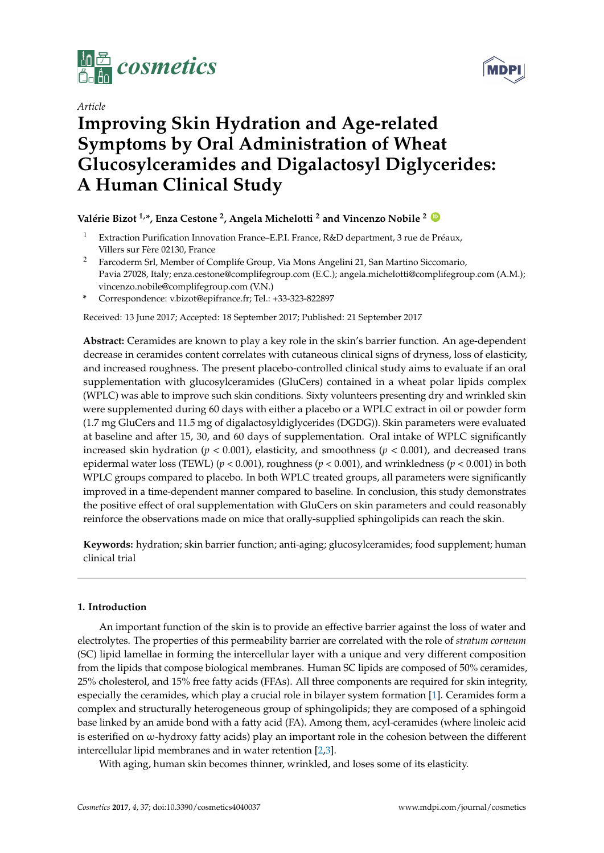

**MDP** 

# *Article* **Improving Skin Hydration and Age-related Symptoms by Oral Administration of Wheat Glucosylceramides and Digalactosyl Diglycerides: A Human Clinical Study**

## **Valérie Bizot 1,\*, Enza Cestone <sup>2</sup> , Angela Michelotti <sup>2</sup> and Vincenzo Nobile <sup>2</sup> [ID](https://orcid.org/0000-0001-9147-302X)**

- <sup>1</sup> Extraction Purification Innovation France–E.P.I. France, R&D department, 3 rue de Préaux, Villers sur Fère 02130, France
- <sup>2</sup> Farcoderm Srl, Member of Complife Group, Via Mons Angelini 21, San Martino Siccomario, Pavia 27028, Italy; enza.cestone@complifegroup.com (E.C.); angela.michelotti@complifegroup.com (A.M.); vincenzo.nobile@complifegroup.com (V.N.)
- **\*** Correspondence: v.bizot@epifrance.fr; Tel.: +33-323-822897

Received: 13 June 2017; Accepted: 18 September 2017; Published: 21 September 2017

**Abstract:** Ceramides are known to play a key role in the skin's barrier function. An age-dependent decrease in ceramides content correlates with cutaneous clinical signs of dryness, loss of elasticity, and increased roughness. The present placebo-controlled clinical study aims to evaluate if an oral supplementation with glucosylceramides (GluCers) contained in a wheat polar lipids complex (WPLC) was able to improve such skin conditions. Sixty volunteers presenting dry and wrinkled skin were supplemented during 60 days with either a placebo or a WPLC extract in oil or powder form (1.7 mg GluCers and 11.5 mg of digalactosyldiglycerides (DGDG)). Skin parameters were evaluated at baseline and after 15, 30, and 60 days of supplementation. Oral intake of WPLC significantly increased skin hydration ( $p < 0.001$ ), elasticity, and smoothness ( $p < 0.001$ ), and decreased trans epidermal water loss (TEWL) (*p* < 0.001), roughness (*p* < 0.001), and wrinkledness (*p* < 0.001) in both WPLC groups compared to placebo. In both WPLC treated groups, all parameters were significantly improved in a time-dependent manner compared to baseline. In conclusion, this study demonstrates the positive effect of oral supplementation with GluCers on skin parameters and could reasonably reinforce the observations made on mice that orally-supplied sphingolipids can reach the skin.

**Keywords:** hydration; skin barrier function; anti-aging; glucosylceramides; food supplement; human clinical trial

### **1. Introduction**

An important function of the skin is to provide an effective barrier against the loss of water and electrolytes. The properties of this permeability barrier are correlated with the role of *stratum corneum* (SC) lipid lamellae in forming the intercellular layer with a unique and very different composition from the lipids that compose biological membranes. Human SC lipids are composed of 50% ceramides, 25% cholesterol, and 15% free fatty acids (FFAs). All three components are required for skin integrity, especially the ceramides, which play a crucial role in bilayer system formation [\[1\]](#page-14-0). Ceramides form a complex and structurally heterogeneous group of sphingolipids; they are composed of a sphingoid base linked by an amide bond with a fatty acid (FA). Among them, acyl-ceramides (where linoleic acid is esterified on ω-hydroxy fatty acids) play an important role in the cohesion between the different intercellular lipid membranes and in water retention [\[2](#page-14-1)[,3\]](#page-14-2).

With aging, human skin becomes thinner, wrinkled, and loses some of its elasticity.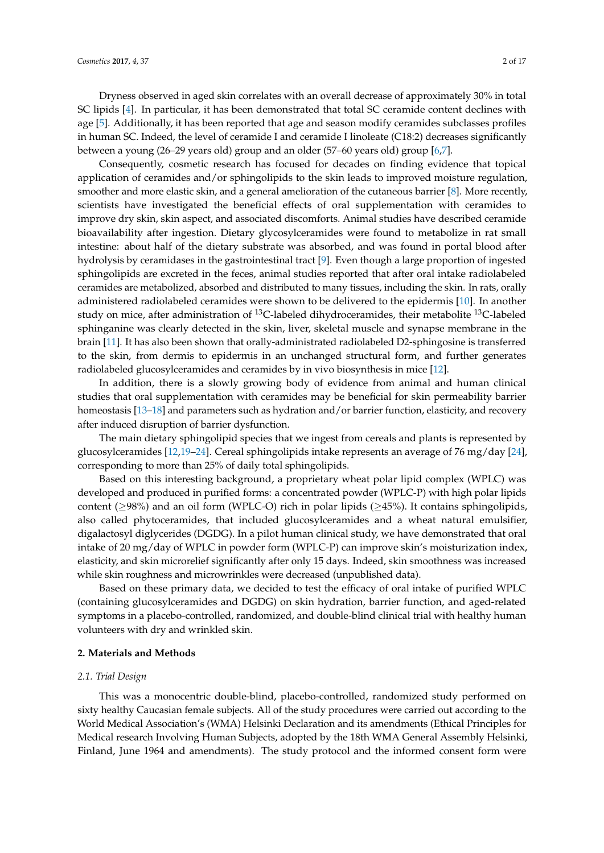Dryness observed in aged skin correlates with an overall decrease of approximately 30% in total SC lipids [\[4\]](#page-14-3). In particular, it has been demonstrated that total SC ceramide content declines with age [\[5\]](#page-14-4). Additionally, it has been reported that age and season modify ceramides subclasses profiles in human SC. Indeed, the level of ceramide I and ceramide I linoleate (C18:2) decreases significantly between a young (26–29 years old) group and an older (57–60 years old) group [\[6](#page-14-5)[,7\]](#page-14-6).

Consequently, cosmetic research has focused for decades on finding evidence that topical application of ceramides and/or sphingolipids to the skin leads to improved moisture regulation, smoother and more elastic skin, and a general amelioration of the cutaneous barrier [\[8\]](#page-15-0). More recently, scientists have investigated the beneficial effects of oral supplementation with ceramides to improve dry skin, skin aspect, and associated discomforts. Animal studies have described ceramide bioavailability after ingestion. Dietary glycosylceramides were found to metabolize in rat small intestine: about half of the dietary substrate was absorbed, and was found in portal blood after hydrolysis by ceramidases in the gastrointestinal tract [\[9\]](#page-15-1). Even though a large proportion of ingested sphingolipids are excreted in the feces, animal studies reported that after oral intake radiolabeled ceramides are metabolized, absorbed and distributed to many tissues, including the skin. In rats, orally administered radiolabeled ceramides were shown to be delivered to the epidermis [\[10\]](#page-15-2). In another study on mice, after administration of  $^{13}$ C-labeled dihydroceramides, their metabolite  $^{13}$ C-labeled sphinganine was clearly detected in the skin, liver, skeletal muscle and synapse membrane in the brain [\[11\]](#page-15-3). It has also been shown that orally-administrated radiolabeled D2-sphingosine is transferred to the skin, from dermis to epidermis in an unchanged structural form, and further generates radiolabeled glucosylceramides and ceramides by in vivo biosynthesis in mice [\[12\]](#page-15-4).

In addition, there is a slowly growing body of evidence from animal and human clinical studies that oral supplementation with ceramides may be beneficial for skin permeability barrier homeostasis [\[13–](#page-15-5)[18\]](#page-15-6) and parameters such as hydration and/or barrier function, elasticity, and recovery after induced disruption of barrier dysfunction.

The main dietary sphingolipid species that we ingest from cereals and plants is represented by glucosylceramides [\[12](#page-15-4)[,19–](#page-15-7)[24\]](#page-15-8). Cereal sphingolipids intake represents an average of 76 mg/day [\[24\]](#page-15-8), corresponding to more than 25% of daily total sphingolipids.

Based on this interesting background, a proprietary wheat polar lipid complex (WPLC) was developed and produced in purified forms: a concentrated powder (WPLC-P) with high polar lipids content (≥98%) and an oil form (WPLC-O) rich in polar lipids (≥45%). It contains sphingolipids, also called phytoceramides, that included glucosylceramides and a wheat natural emulsifier, digalactosyl diglycerides (DGDG). In a pilot human clinical study, we have demonstrated that oral intake of 20 mg/day of WPLC in powder form (WPLC-P) can improve skin's moisturization index, elasticity, and skin microrelief significantly after only 15 days. Indeed, skin smoothness was increased while skin roughness and microwrinkles were decreased (unpublished data).

Based on these primary data, we decided to test the efficacy of oral intake of purified WPLC (containing glucosylceramides and DGDG) on skin hydration, barrier function, and aged-related symptoms in a placebo-controlled, randomized, and double-blind clinical trial with healthy human volunteers with dry and wrinkled skin.

#### **2. Materials and Methods**

#### *2.1. Trial Design*

This was a monocentric double-blind, placebo-controlled, randomized study performed on sixty healthy Caucasian female subjects. All of the study procedures were carried out according to the World Medical Association's (WMA) Helsinki Declaration and its amendments (Ethical Principles for Medical research Involving Human Subjects, adopted by the 18th WMA General Assembly Helsinki, Finland, June 1964 and amendments). The study protocol and the informed consent form were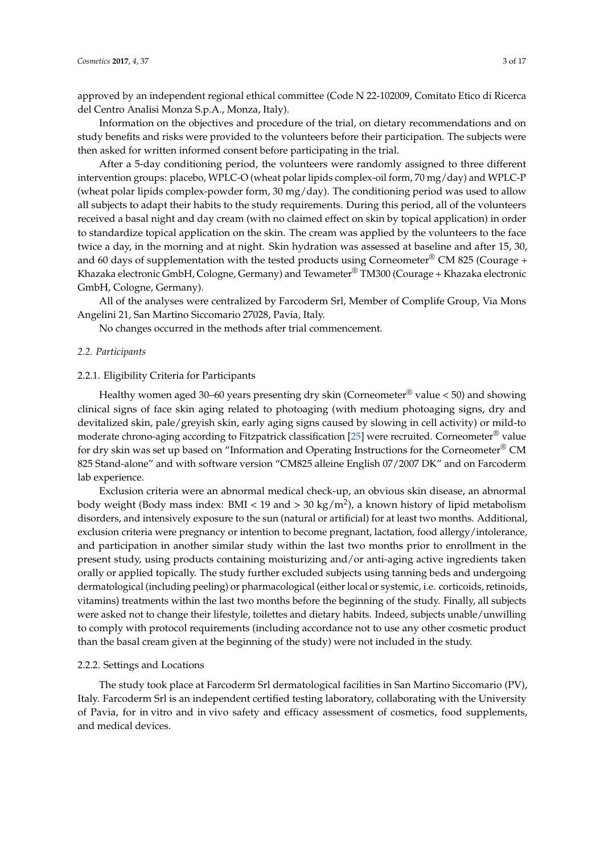approved by an independent regional ethical committee (Code N 22-102009, Comitato Etico di Ricerca del Centro Analisi Monza S.p.A., Monza, Italy).

Information on the objectives and procedure of the trial, on dietary recommendations and on study benefits and risks were provided to the volunteers before their participation. The subjects were then asked for written informed consent before participating in the trial.

After a 5-day conditioning period, the volunteers were randomly assigned to three different intervention groups: placebo, WPLC-O (wheat polar lipids complex-oil form, 70 mg/day) and WPLC-P (wheat polar lipids complex-powder form, 30 mg/day). The conditioning period was used to allow all subjects to adapt their habits to the study requirements. During this period, all of the volunteers received a basal night and day cream (with no claimed effect on skin by topical application) in order to standardize topical application on the skin. The cream was applied by the volunteers to the face twice a day, in the morning and at night. Skin hydration was assessed at baseline and after 15, 30, and 60 days of supplementation with the tested products using Corneometer® CM 825 (Courage + Khazaka electronic GmbH, Cologne, Germany) and Tewameter® TM300 (Courage + Khazaka electronic GmbH, Cologne, Germany).

All of the analyses were centralized by Farcoderm Srl, Member of Complife Group, Via Mons Angelini 21, San Martino Siccomario 27028, Pavia, Italy.

No changes occurred in the methods after trial commencement.

#### *2.2. Participants*

### 2.2.1. Eligibility Criteria for Participants

Healthy women aged 30–60 years presenting dry skin (Corneometer® value < 50) and showing clinical signs of face skin aging related to photoaging (with medium photoaging signs, dry and devitalized skin, pale/greyish skin, early aging signs caused by slowing in cell activity) or mild-to moderate chrono-aging according to Fitzpatrick classification [\[25\]](#page-15-9) were recruited. Corneometer® value for dry skin was set up based on "Information and Operating Instructions for the Corneometer® CM 825 Stand-alone" and with software version "CM825 alleine English 07/2007 DK" and on Farcoderm lab experience.

Exclusion criteria were an abnormal medical check-up, an obvious skin disease, an abnormal body weight (Body mass index: BMI < 19 and > 30 kg/m<sup>2</sup>), a known history of lipid metabolism disorders, and intensively exposure to the sun (natural or artificial) for at least two months. Additional, exclusion criteria were pregnancy or intention to become pregnant, lactation, food allergy/intolerance, and participation in another similar study within the last two months prior to enrollment in the present study, using products containing moisturizing and/or anti-aging active ingredients taken orally or applied topically. The study further excluded subjects using tanning beds and undergoing dermatological (including peeling) or pharmacological (either local or systemic, i.e. corticoids, retinoids, vitamins) treatments within the last two months before the beginning of the study. Finally, all subjects were asked not to change their lifestyle, toilettes and dietary habits. Indeed, subjects unable/unwilling to comply with protocol requirements (including accordance not to use any other cosmetic product than the basal cream given at the beginning of the study) were not included in the study.

### 2.2.2. Settings and Locations

The study took place at Farcoderm Srl dermatological facilities in San Martino Siccomario (PV), Italy. Farcoderm Srl is an independent certified testing laboratory, collaborating with the University of Pavia, for in vitro and in vivo safety and efficacy assessment of cosmetics, food supplements, and medical devices.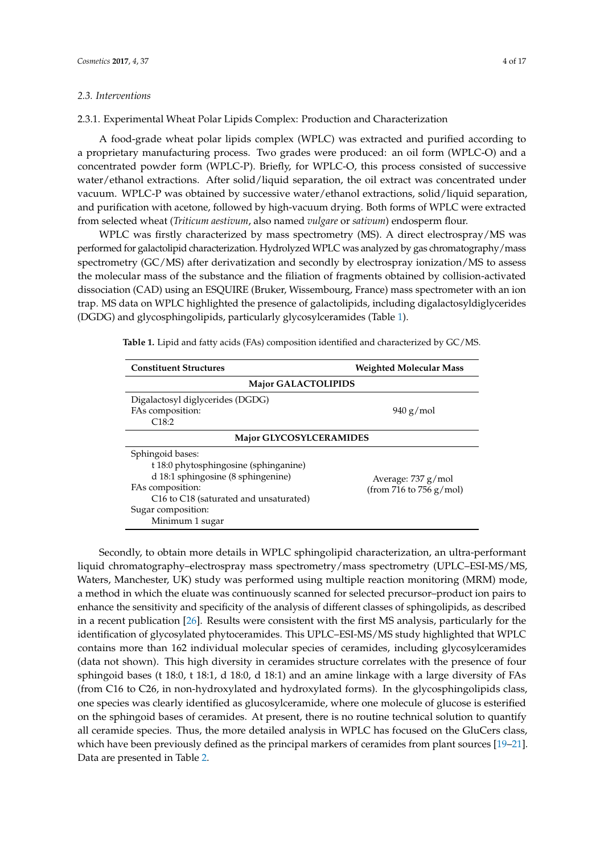### *2.3. Interventions*

2.3.1. Experimental Wheat Polar Lipids Complex: Production and Characterization

A food-grade wheat polar lipids complex (WPLC) was extracted and purified according to a proprietary manufacturing process. Two grades were produced: an oil form (WPLC-O) and a concentrated powder form (WPLC-P). Briefly, for WPLC-O, this process consisted of successive water/ethanol extractions. After solid/liquid separation, the oil extract was concentrated under vacuum. WPLC-P was obtained by successive water/ethanol extractions, solid/liquid separation, and purification with acetone, followed by high-vacuum drying. Both forms of WPLC were extracted from selected wheat (*Triticum aestivum*, also named *vulgare* or *sativum*) endosperm flour.

WPLC was firstly characterized by mass spectrometry (MS). A direct electrospray/MS was performed for galactolipid characterization. Hydrolyzed WPLC was analyzed by gas chromatography/mass spectrometry (GC/MS) after derivatization and secondly by electrospray ionization/MS to assess the molecular mass of the substance and the filiation of fragments obtained by collision-activated dissociation (CAD) using an ESQUIRE (Bruker, Wissembourg, France) mass spectrometer with an ion trap. MS data on WPLC highlighted the presence of galactolipids, including digalactosyldiglycerides (DGDG) and glycosphingolipids, particularly glycosylceramides (Table [1\)](#page-3-0).

| <b>Constituent Structures</b>                                                                                                                                                                                                                                                      | <b>Weighted Molecular Mass</b> |  |  |  |
|------------------------------------------------------------------------------------------------------------------------------------------------------------------------------------------------------------------------------------------------------------------------------------|--------------------------------|--|--|--|
| <b>Major GALACTOLIPIDS</b>                                                                                                                                                                                                                                                         |                                |  |  |  |
| Digalactosyl diglycerides (DGDG)<br>FAs composition:<br>C18:2                                                                                                                                                                                                                      | $940$ g/mol                    |  |  |  |
| <b>Major GLYCOSYLCERAMIDES</b>                                                                                                                                                                                                                                                     |                                |  |  |  |
| Sphingoid bases:<br>t 18:0 phytosphingosine (sphinganine)<br>d 18:1 sphingosine (8 sphingenine)<br>Average: 737 g/mol<br>FAs composition:<br>(from 716 to 756 $g/mol$ )<br>C <sub>16</sub> to C <sub>18</sub> (saturated and unsaturated)<br>Sugar composition:<br>Minimum 1 sugar |                                |  |  |  |

<span id="page-3-0"></span>**Table 1.** Lipid and fatty acids (FAs) composition identified and characterized by GC/MS.

Secondly, to obtain more details in WPLC sphingolipid characterization, an ultra-performant liquid chromatography–electrospray mass spectrometry/mass spectrometry (UPLC–ESI-MS/MS, Waters, Manchester, UK) study was performed using multiple reaction monitoring (MRM) mode, a method in which the eluate was continuously scanned for selected precursor–product ion pairs to enhance the sensitivity and specificity of the analysis of different classes of sphingolipids, as described in a recent publication [\[26\]](#page-15-10). Results were consistent with the first MS analysis, particularly for the identification of glycosylated phytoceramides. This UPLC–ESI-MS/MS study highlighted that WPLC contains more than 162 individual molecular species of ceramides, including glycosylceramides (data not shown). This high diversity in ceramides structure correlates with the presence of four sphingoid bases (t 18:0, t 18:1, d 18:0, d 18:1) and an amine linkage with a large diversity of FAs (from C16 to C26, in non-hydroxylated and hydroxylated forms). In the glycosphingolipids class, one species was clearly identified as glucosylceramide, where one molecule of glucose is esterified on the sphingoid bases of ceramides. At present, there is no routine technical solution to quantify all ceramide species. Thus, the more detailed analysis in WPLC has focused on the GluCers class, which have been previously defined as the principal markers of ceramides from plant sources [\[19–](#page-15-7)[21\]](#page-15-11). Data are presented in Table [2.](#page-4-0)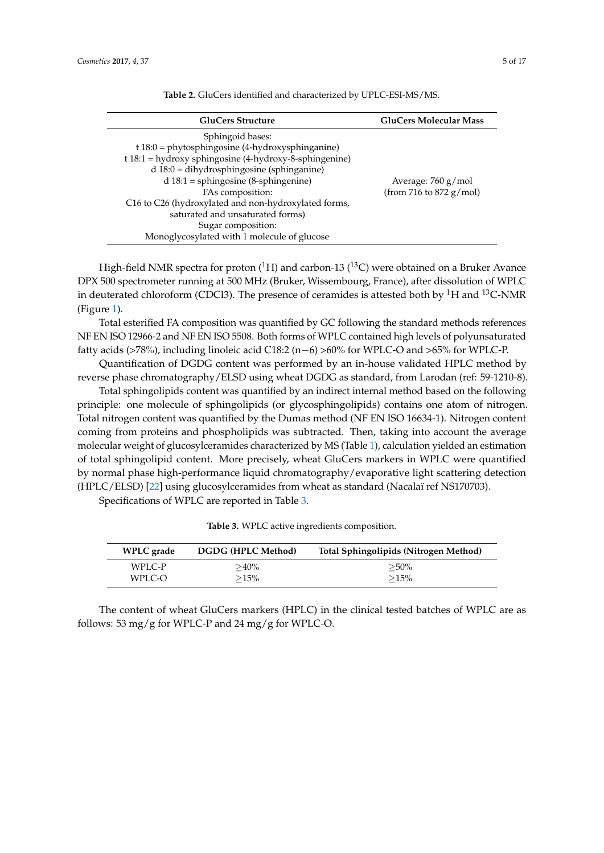<span id="page-4-0"></span>

| <b>GluCers Structure</b>                                                                                                                                                                                                                                                                                                                                                                                         | <b>GluCers Molecular Mass</b>                              |
|------------------------------------------------------------------------------------------------------------------------------------------------------------------------------------------------------------------------------------------------------------------------------------------------------------------------------------------------------------------------------------------------------------------|------------------------------------------------------------|
| Sphingoid bases:<br>$t$ 18:0 = phytosphingosine (4-hydroxysphinganine)<br>$t 18:1 =$ hydroxy sphingosine (4-hydroxy-8-sphingenine)<br>$d$ 18:0 = dihydrosphingosine (sphinganine)<br>$d$ 18:1 = sphingosine (8-sphingenine)<br>FAs composition:<br>C16 to C26 (hydroxylated and non-hydroxylated forms,<br>saturated and unsaturated forms)<br>Sugar composition:<br>Monoglycosylated with 1 molecule of glucose | Average: $760 \text{ g/mol}$<br>(from 716 to 872 $g/mol$ ) |

**Table 2.** GluCers identified and characterized by UPLC-ESI-MS/MS.

High-field NMR spectra for proton  $(^1H)$  and carbon-13  $(^{13}C)$  were obtained on a Bruker Avance DPX 500 spectrometer running at 500 MHz (Bruker, Wissembourg, France), after dissolution of WPLC in deuterated chloroform (CDCl3). The presence of ceramides is attested both by <sup>1</sup>H and <sup>13</sup>C-NMR (Figure [1\)](#page-5-0).

Total esterified FA composition was quantified by GC following the standard methods references NF EN ISO 12966-2 and NF EN ISO 5508. Both forms of WPLC contained high levels of polyunsaturated fatty acids (>78%), including linoleic acid C18:2 (n−6) >60% for WPLC-O and >65% for WPLC-P.

Quantification of DGDG content was performed by an in-house validated HPLC method by reverse phase chromatography/ELSD using wheat DGDG as standard, from Larodan (ref: 59-1210-8).

Total sphingolipids content was quantified by an indirect internal method based on the following principle: one molecule of sphingolipids (or glycosphingolipids) contains one atom of nitrogen. Total nitrogen content was quantified by the Dumas method (NF EN ISO 16634-1). Nitrogen content coming from proteins and phospholipids was subtracted. Then, taking into account the average molecular weight of glucosylceramides characterized by MS (Table [1\)](#page-3-0), calculation yielded an estimation of total sphingolipid content. More precisely, wheat GluCers markers in WPLC were quantified by normal phase high-performance liquid chromatography/evaporative light scattering detection (HPLC/ELSD) [\[22\]](#page-15-12) using glucosylceramides from wheat as standard (Nacalaï ref NS170703).

<span id="page-4-1"></span>Specifications of WPLC are reported in Table [3.](#page-4-1)

| <b>WPLC</b> grade | DGDG (HPLC Method) | Total Sphingolipids (Nitrogen Method) |
|-------------------|--------------------|---------------------------------------|
| WPLC-P            | $>40\%$            | $>50\%$                               |
| WPLC-O            | $>15\%$            | >15%                                  |

**Table 3.** WPLC active ingredients composition.

The content of wheat GluCers markers (HPLC) in the clinical tested batches of WPLC are as follows: 53 mg/g for WPLC-P and 24 mg/g for WPLC-O.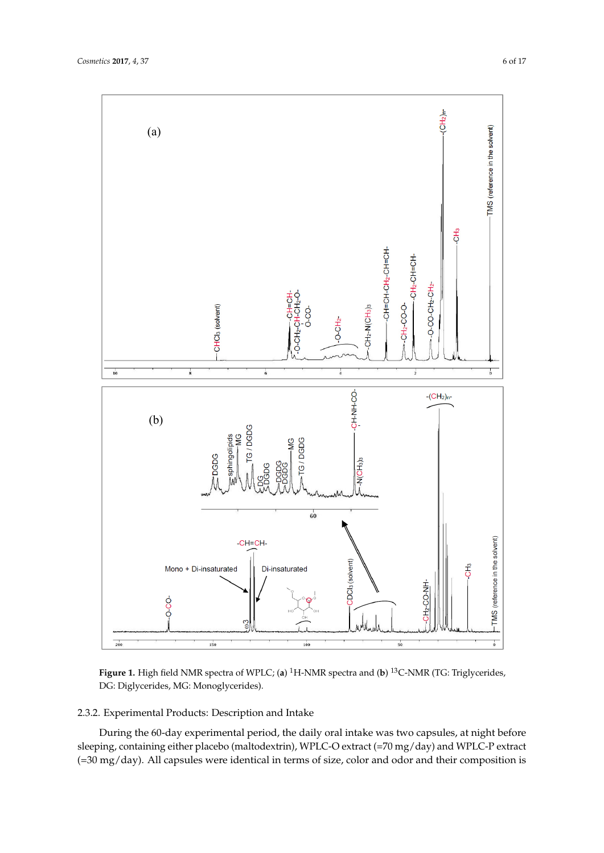<span id="page-5-0"></span>

**Figure 1.** High field NMR spectra of WPLC; (**a**) <sup>1</sup>H-NMR spectra and (**b**) <sup>13</sup>C-NMR (TG: Triglycerides, DG: Diglycerides, MG: Monoglycerides).

### 2.3.2. Experimental Products: Description and Intake

During the 60-day experimental period, the daily oral intake was two capsules, at night before sleeping, containing either placebo (maltodextrin), WPLC-O extract (=70 mg/day) and WPLC-P extract (=30 mg/day). All capsules were identical in terms of size, color and odor and their composition is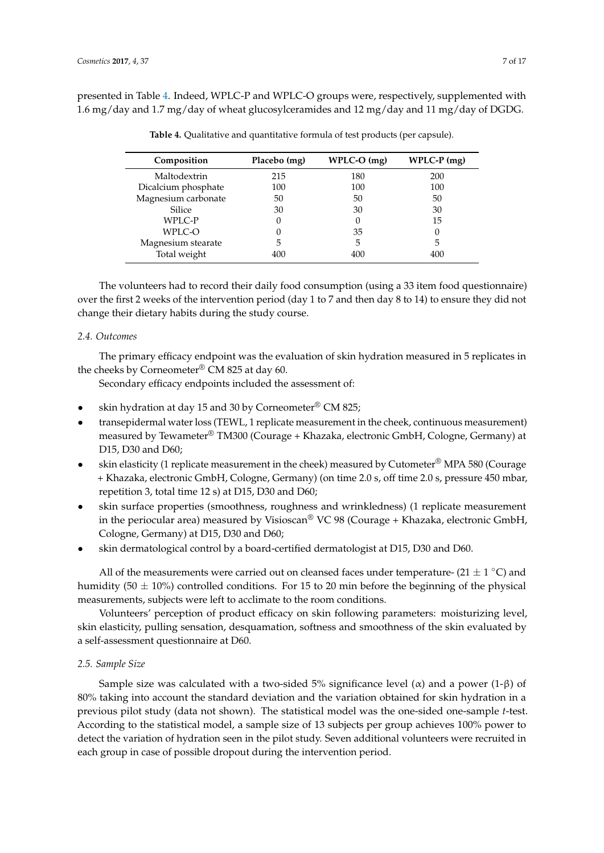<span id="page-6-0"></span>presented in Table [4.](#page-6-0) Indeed, WPLC-P and WPLC-O groups were, respectively, supplemented with 1.6 mg/day and 1.7 mg/day of wheat glucosylceramides and 12 mg/day and 11 mg/day of DGDG.

| Composition         | Placebo (mg) | $WPLC-O$ (mg) | $WPLC-P$ (mg) |
|---------------------|--------------|---------------|---------------|
| Maltodextrin        | 215          | 180           | 200           |
| Dicalcium phosphate | 100          | 100           | 100           |
| Magnesium carbonate | 50           | 50            | 50            |
| Silice              | 30           | 30            | 30            |
| WPLC-P              |              |               | 15            |
| WPLC-O              |              | 35            | 0             |
| Magnesium stearate  | 5            | 5             | 5             |
| Total weight        | 400          | 400           | 400           |

**Table 4.** Qualitative and quantitative formula of test products (per capsule).

The volunteers had to record their daily food consumption (using a 33 item food questionnaire) over the first 2 weeks of the intervention period (day 1 to 7 and then day 8 to 14) to ensure they did not change their dietary habits during the study course.

### *2.4. Outcomes*

The primary efficacy endpoint was the evaluation of skin hydration measured in 5 replicates in the cheeks by Corneometer® CM 825 at day 60.

Secondary efficacy endpoints included the assessment of:

- skin hydration at day 15 and 30 by Corneometer® CM 825;
- transepidermal water loss (TEWL, 1 replicate measurement in the cheek, continuous measurement) measured by Tewameter® TM300 (Courage + Khazaka, electronic GmbH, Cologne, Germany) at D15, D30 and D60;
- skin elasticity (1 replicate measurement in the cheek) measured by Cutometer<sup>®</sup> MPA 580 (Courage + Khazaka, electronic GmbH, Cologne, Germany) (on time 2.0 s, off time 2.0 s, pressure 450 mbar, repetition 3, total time 12 s) at D15, D30 and D60;
- skin surface properties (smoothness, roughness and wrinkledness) (1 replicate measurement in the periocular area) measured by Visioscan® VC 98 (Courage + Khazaka, electronic GmbH, Cologne, Germany) at D15, D30 and D60;
- skin dermatological control by a board-certified dermatologist at D15, D30 and D60.

All of the measurements were carried out on cleansed faces under temperature- (21  $\pm$  1 °C) and humidity (50  $\pm$  10%) controlled conditions. For 15 to 20 min before the beginning of the physical measurements, subjects were left to acclimate to the room conditions.

Volunteers' perception of product efficacy on skin following parameters: moisturizing level, skin elasticity, pulling sensation, desquamation, softness and smoothness of the skin evaluated by a self-assessment questionnaire at D60.

### *2.5. Sample Size*

Sample size was calculated with a two-sided 5% significance level ( $\alpha$ ) and a power (1- $\beta$ ) of 80% taking into account the standard deviation and the variation obtained for skin hydration in a previous pilot study (data not shown). The statistical model was the one-sided one-sample *t*-test. According to the statistical model, a sample size of 13 subjects per group achieves 100% power to detect the variation of hydration seen in the pilot study. Seven additional volunteers were recruited in each group in case of possible dropout during the intervention period.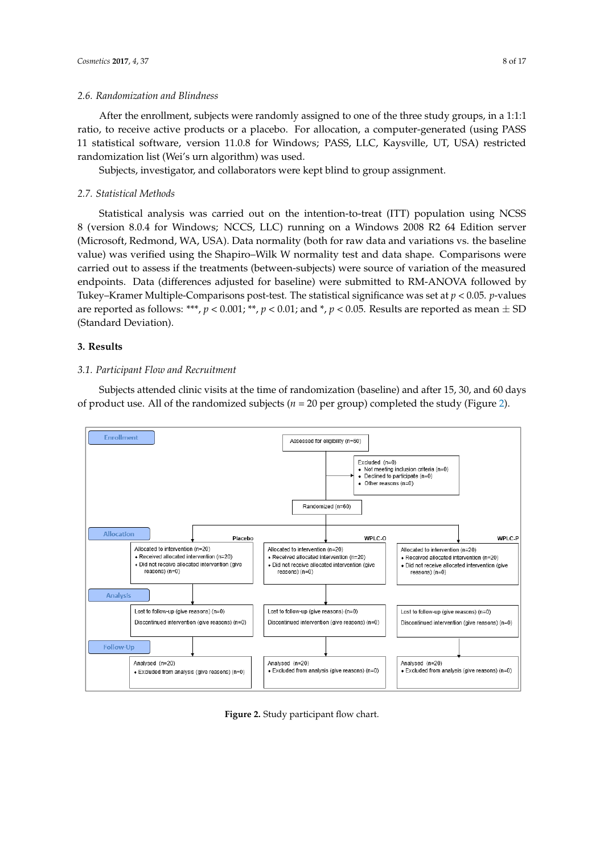### *2.6. Randomization and Blindness*

After the enrollment, subjects were randomly assigned to one of the three study groups, in a 1:1:1 ratio, to receive active products or a placebo. For allocation, a computer-generated (using PASS 11 statistical software, version 11.0.8 for Windows; PASS, LLC, Kaysville, UT, USA) restricted randomization list (Wei's urn algorithm) was used.

Subjects, investigator, and collaborators were kept blind to group assignment.

### *2.7. Statistical Methods*

Statistical analysis was carried out on the intention-to-treat (ITT) population using NCSS 8 (version 8.0.4 for Windows; NCCS, LLC) running on a Windows 2008 R2 64 Edition server (Microsoft, Redmond, WA, USA). Data normality (both for raw data and variations vs. the baseline value) was verified using the Shapiro–Wilk W normality test and data shape. Comparisons were carried out to assess if the treatments (between-subjects) were source of variation of the measured endpoints. Data (differences adjusted for baseline) were submitted to RM-ANOVA followed by Tukey–Kramer Multiple-Comparisons post-test. The statistical significance was set at *p* < 0.05. *p*-values are reported as follows: \*\*\*,  $p < 0.001$ ; \*\*,  $p < 0.01$ ; and \*,  $p < 0.05$ . Results are reported as mean  $\pm$  SD (Standard Deviation).

### **3. Results**

### *3.1. Participant Flow and Recruitment*  $S_{\rm eff}$  at the time of randomization (baseline) and after 15, 30, 30, and 60, and 60, and 60, and 60, and 60, and 60, and 60, and 60, and 60, and 60, and 60, and 60, and 60, and 60, and 60, and 60, and 60, and 60, and 60

Subjects attended clinic visits at the time of randomization (baseline) and after 15, 30, and 60 days of product use. All of the randomized subjects ( $n = 20$  per group) completed the study (Figure [2\)](#page-7-0).

<span id="page-7-0"></span>

**Figure 2.** Study participant flow chart. **Figure 2.** Study participant flow chart.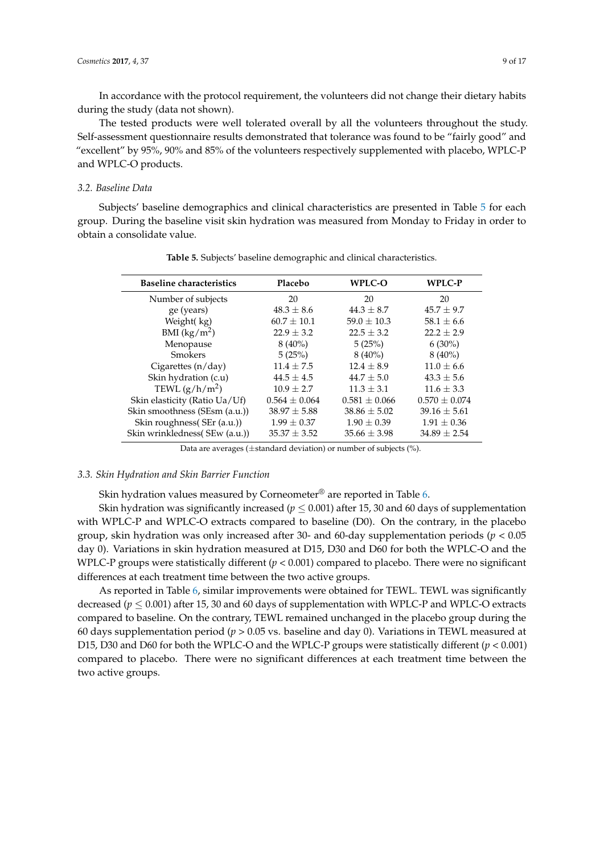In accordance with the protocol requirement, the volunteers did not change their dietary habits during the study (data not shown).

The tested products were well tolerated overall by all the volunteers throughout the study. Self-assessment questionnaire results demonstrated that tolerance was found to be "fairly good" and "excellent" by 95%, 90% and 85% of the volunteers respectively supplemented with placebo, WPLC-P and WPLC-O products.

### *3.2. Baseline Data*

<span id="page-8-0"></span>Subjects' baseline demographics and clinical characteristics are presented in Table [5](#page-8-0) for each group. During the baseline visit skin hydration was measured from Monday to Friday in order to obtain a consolidate value.

| <b>Baseline characteristics</b> | Placebo           | WPLC-O            | <b>WPLC-P</b>     |
|---------------------------------|-------------------|-------------------|-------------------|
| Number of subjects              | 20                | 20                | 20                |
| ge (years)                      | $48.3 \pm 8.6$    | $44.3 \pm 8.7$    | $45.7 \pm 9.7$    |
| Weight(kg)                      | $60.7 \pm 10.1$   | $59.0 \pm 10.3$   | $58.1 \pm 6.6$    |
| BMI $(kg/m^2)$                  | $22.9 \pm 3.2$    | $22.5 \pm 3.2$    | $22.2 + 2.9$      |
| Menopause                       | $8(40\%)$         | 5(25%)            | $6(30\%)$         |
| <b>Smokers</b>                  | 5(25%)            | $8(40\%)$         | $8(40\%)$         |
| Cigarettes $(n/day)$            | $11.4 \pm 7.5$    | $12.4 \pm 8.9$    | $11.0 \pm 6.6$    |
| Skin hydration (c.u)            | $44.5 \pm 4.5$    | $44.7 + 5.0$      | $43.3 \pm 5.6$    |
| TEWL $(g/h/m^2)$                | $10.9 \pm 2.7$    | $11.3 \pm 3.1$    | $11.6 \pm 3.3$    |
| Skin elasticity (Ratio Ua/Uf)   | $0.564 \pm 0.064$ | $0.581 \pm 0.066$ | $0.570 \pm 0.074$ |
| Skin smoothness (SEsm (a.u.))   | $38.97 \pm 5.88$  | $38.86 \pm 5.02$  | $39.16 \pm 5.61$  |
| Skin roughness (SEr (a.u.))     | $1.99 \pm 0.37$   | $1.90 \pm 0.39$   | $1.91 \pm 0.36$   |
| Skin wrinkledness(SEw (a.u.))   | $35.37 \pm 3.52$  | $35.66 \pm 3.98$  | $34.89 \pm 2.54$  |

**Table 5.** Subjects' baseline demographic and clinical characteristics.

Data are averages (±standard deviation) or number of subjects (%).

### *3.3. Skin Hydration and Skin Barrier Function*

Skin hydration values measured by Corneometer<sup>®</sup> are reported in Table  $6$ .

Skin hydration was significantly increased ( $p \leq 0.001$ ) after 15, 30 and 60 days of supplementation with WPLC-P and WPLC-O extracts compared to baseline (D0). On the contrary, in the placebo group, skin hydration was only increased after 30- and 60-day supplementation periods (*p* < 0.05 day 0). Variations in skin hydration measured at D15, D30 and D60 for both the WPLC-O and the WPLC-P groups were statistically different (*p* < 0.001) compared to placebo. There were no significant differences at each treatment time between the two active groups.

As reported in Table [6,](#page-9-0) similar improvements were obtained for TEWL. TEWL was significantly decreased ( $p \leq 0.001$ ) after 15, 30 and 60 days of supplementation with WPLC-P and WPLC-O extracts compared to baseline. On the contrary, TEWL remained unchanged in the placebo group during the 60 days supplementation period (*p* > 0.05 vs. baseline and day 0). Variations in TEWL measured at D15, D30 and D60 for both the WPLC-O and the WPLC-P groups were statistically different  $(p < 0.001)$ compared to placebo. There were no significant differences at each treatment time between the two active groups.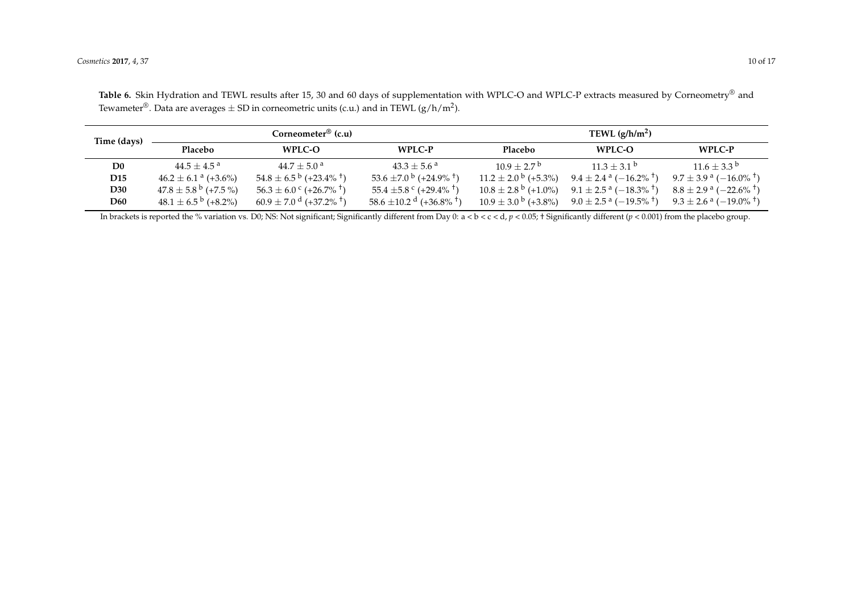| Time (days)     |                                      | Corneometer <sup>®</sup> (c.u)                |                                                 |                                     | TEWL $(g/h/m^2)$                                     |                                                  |
|-----------------|--------------------------------------|-----------------------------------------------|-------------------------------------------------|-------------------------------------|------------------------------------------------------|--------------------------------------------------|
|                 | Placebo                              | WPLC-O                                        | WPLC-P                                          | Placebo                             | <b>WPLC-O</b>                                        | WPLC-P                                           |
| D <sub>0</sub>  | $44.5 + 4.5^{\circ}$                 | $44.7 + 5.0^{\circ}$                          | $43.3 + 5.6^{\circ}$                            | $10.9 + 2.7^{\circ}$                | $11.3 + 3.1^{b}$                                     | $11.6 + 3.3^{b}$                                 |
| D <sub>15</sub> | $46.2 \pm 6.1$ <sup>a</sup> (+3.6%)  | $54.8 \pm 6.5^{\circ}$ (+23.4% <sup>+</sup> ) | 53.6 ±7.0 $^{\rm b}$ (+24.9% <sup>+</sup> )     | $11.2 \pm 2.0^{\mathrm{b}}$ (+5.3%) | $9.4 \pm 2.4$ a $(-16.2\%$ <sup>†</sup> )            | $9.7 \pm 3.9^{\text{ a}} (-16.0\% ^{\text{ t}})$ |
| D30             | $47.8 \pm 5.8^{\mathrm{b}}$ (+7.5 %) | $56.3 \pm 6.0^{\circ}$ (+26.7% <sup>+</sup> ) | 55.4 $\pm$ 5.8 $\degree$ (+29.4% <sup>†</sup> ) | $10.8 \pm 2.8^{\mathrm{b}}$ (+1.0%) | $9.1 \pm 2.5^{\text{ a}}$ ( $-18.3\%$ <sup>+</sup> ) | $8.8 \pm 2.9^{\text{ a}}$ (-22.6% <sup>+</sup> ) |
| D60             | $48.1 \pm 6.5^{b}$ (+8.2%)           | $60.9 \pm 7.0$ d $(+37.2\%$ <sup>+</sup> )    | $58.6 \pm 10.2$ d (+36.8% <sup>+</sup> )        | $10.9 \pm 3.0^{\mathrm{b}}$ (+3.8%) | $9.0 \pm 2.5^{\text{ a}} (-19.5\% ^{\text{ t}})$     | $9.3 \pm 2.6^{\text{ a}} (-19.0\% ^{\text{ t}})$ |

Table 6. Skin Hydration and TEWL results after 15, 30 and 60 days of supplementation with WPLC-O and WPLC-P extracts measured by Corneometry<sup>®</sup> and Tewameter $^\circledR.$  Data are averages  $\pm$  SD in corneometric units (c.u.) and in TEWL (g/h/m<sup>2</sup>).

<span id="page-9-0"></span>In brackets is reported the % variation vs. D0; NS: Not significant; Significantly different from Day 0: a < b < c < d,  $p$  < 0.05; † Significantly different ( $p$  < 0.001) from the placebo group.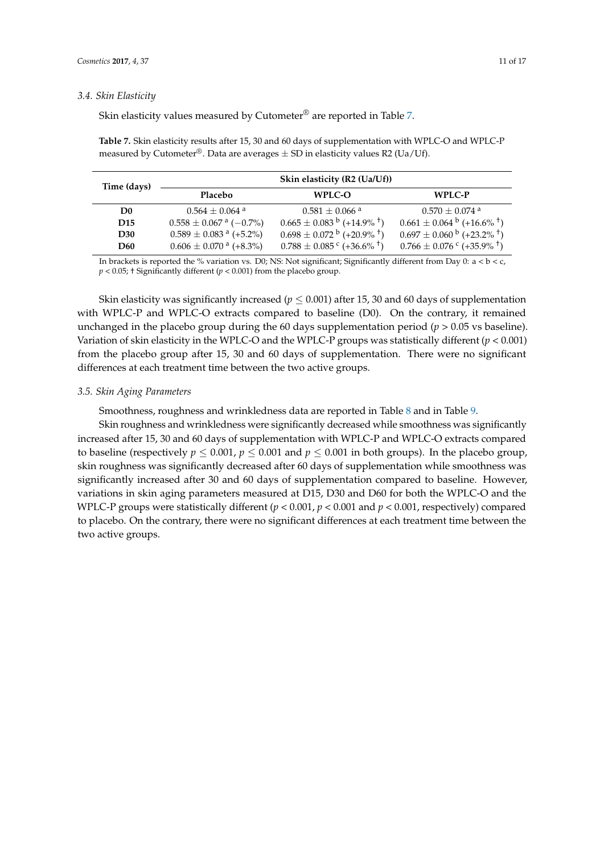### *3.4. Skin Elasticity*

Skin elasticity values measured by Cutometer® are reported in Table [7.](#page-10-0)

<span id="page-10-0"></span>**Table 7.** Skin elasticity results after 15, 30 and 60 days of supplementation with WPLC-O and WPLC-P measured by Cutometer<sup>®</sup>. Data are averages  $\pm$  SD in elasticity values R2 (Ua/Uf).

| Time (days)     | Skin elasticity (R2 (Ua/Uf))           |                                                       |                                                       |  |
|-----------------|----------------------------------------|-------------------------------------------------------|-------------------------------------------------------|--|
|                 | Placebo<br>WPLC-O<br>WPLC-P            |                                                       |                                                       |  |
| D <sub>0</sub>  | $0.564 + 0.064$ <sup>a</sup>           | $0.581 + 0.066$ <sup>a</sup>                          | $0.570 + 0.074$ <sup>a</sup>                          |  |
| D <sub>15</sub> | $0.558 \pm 0.067$ <sup>a</sup> (-0.7%) | $0.665 \pm 0.083^{b}$ (+14.9% <sup>+</sup> )          | $0.661 \pm 0.064^{\mathrm{b}}$ (+16.6% <sup>+</sup> ) |  |
| D <sub>30</sub> | $0.589 \pm 0.083$ <sup>a</sup> (+5.2%) | $0.698 \pm 0.072^{\mathrm{b}}$ (+20.9% <sup>+</sup> ) | $0.697 \pm 0.060^{\mathrm{b}}$ (+23.2% <sup>+</sup> ) |  |
| <b>D60</b>      | $0.606 \pm 0.070$ <sup>a</sup> (+8.3%) | $0.788 \pm 0.085$ ° (+36.6% <sup>+</sup> )            | $0.766 \pm 0.076$ ° (+35.9% <sup>+</sup> )            |  |

In brackets is reported the % variation vs. D0; NS: Not significant; Significantly different from Day 0:  $a < b < c$ ,  $p < 0.05$ ; † Significantly different ( $p < 0.001$ ) from the placebo group.

Skin elasticity was significantly increased ( $p \leq 0.001$ ) after 15, 30 and 60 days of supplementation with WPLC-P and WPLC-O extracts compared to baseline (D0). On the contrary, it remained unchanged in the placebo group during the 60 days supplementation period ( $p > 0.05$  vs baseline). Variation of skin elasticity in the WPLC-O and the WPLC-P groups was statistically different (*p* < 0.001) from the placebo group after 15, 30 and 60 days of supplementation. There were no significant differences at each treatment time between the two active groups.

### *3.5. Skin Aging Parameters*

Smoothness, roughness and wrinkledness data are reported in Table [8](#page-11-0) and in Table [9.](#page-12-0)

Skin roughness and wrinkledness were significantly decreased while smoothness was significantly increased after 15, 30 and 60 days of supplementation with WPLC-P and WPLC-O extracts compared to baseline (respectively  $p \le 0.001$ ,  $p \le 0.001$  and  $p \le 0.001$  in both groups). In the placebo group, skin roughness was significantly decreased after 60 days of supplementation while smoothness was significantly increased after 30 and 60 days of supplementation compared to baseline. However, variations in skin aging parameters measured at D15, D30 and D60 for both the WPLC-O and the WPLC-P groups were statistically different  $(p < 0.001, p < 0.001$  and  $p < 0.001$ , respectively) compared to placebo. On the contrary, there were no significant differences at each treatment time between the two active groups.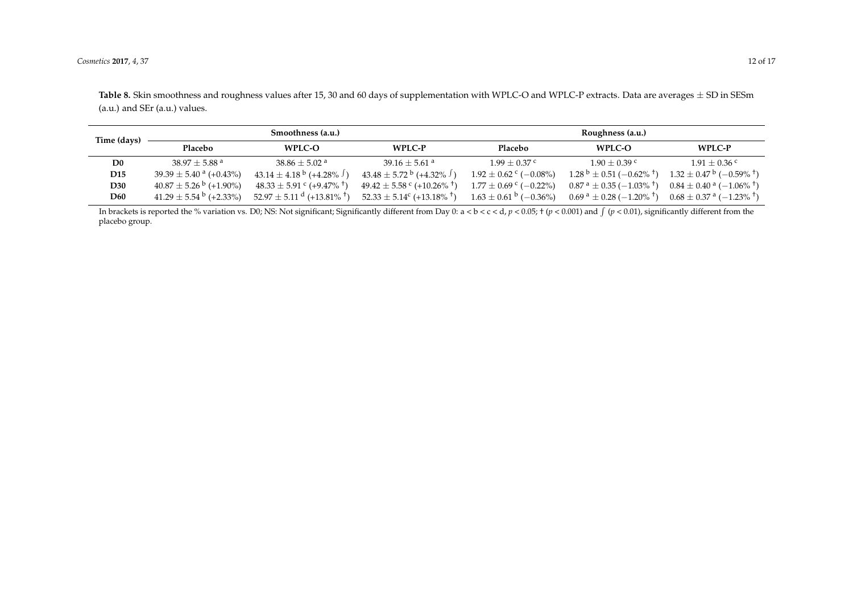Table 8. Skin smoothness and roughness values after 15, 30 and 60 days of supplementation with WPLC-O and WPLC-P extracts. Data are averages  $\pm$  SD in SESm (a.u.) and SEr (a.u.) values.

| Time (days)     |                                        | Smoothness (a.u.)                                 |                                                      |                                       | Roughness (a.u.)                                                             |                                                        |
|-----------------|----------------------------------------|---------------------------------------------------|------------------------------------------------------|---------------------------------------|------------------------------------------------------------------------------|--------------------------------------------------------|
|                 | <b>Placebo</b>                         | WPLC-O                                            | WPLC-P                                               | Placebo                               | WPLC-O                                                                       | WPLC-P                                                 |
| D <sub>0</sub>  | $38.97 + 5.88$ <sup>a</sup>            | $38.86 + 5.02$ <sup>a</sup>                       | $39.16 + 5.61$ <sup>a</sup>                          | $1.99 + 0.37$ c                       | $1.90 + 0.39$ c                                                              | $1.91 + 0.36$ c                                        |
| D <sub>15</sub> | $39.39 \pm 5.40^{\text{ a}}$ (+0.43%)  | $43.14 \pm 4.18^{\mathrm{b}}$ (+4.28%)            | $43.48 \pm 5.72^{\mathrm{b}}$ (+4.32% <sup>J</sup> ) | $1.92 \pm 0.62$ c (-0.08%)            | $1.28^{b} \pm 0.51$ (-0.62% <sup>+</sup> )                                   | $1.32 \pm 0.47^{\mathrm{b}}$ (-0.59% <sup>+</sup> )    |
| <b>D30</b>      | $40.87 \pm 5.26^{\mathrm{b}}$ (+1.90%) | $48.33 \pm 5.91$ $\degree$ (+9.47% <sup>†</sup> ) | $49.42 \pm 5.58$ ° (+10.26% <sup>+</sup> )           | $1.77 \pm 0.69$ c (-0.22%)            | $0.87^{\text{ a}} \pm 0.35^{\text{ }} (-1.03\%^\text{ }^{\text{ } \dagger})$ | $0.84 \pm 0.40^{\text{ a}}$ ( $-1.06\%$ <sup>+</sup> ) |
| <b>D60</b>      | $41.29 \pm 5.54^{\mathrm{b}}$ (+2.33%) | $52.97 \pm 5.11$ d (+13.81% <sup>†</sup> )        | $52.33 \pm 5.14^{\circ}$ (+13.18% <sup>+</sup> )     | $1.63 \pm 0.61^{\mathrm{b}}$ (-0.36%) | $0.69^{\text{ a}} \pm 0.28^{\text{ }} (-1.20\% ^{\text{ } \dagger})$         | $0.68 \pm 0.37$ a $(-1.23\%$ <sup>+</sup> )            |

<span id="page-11-0"></span>In brackets is reported the % variation vs. D0; NS: Not significant; Significantly different from Day 0: a < b < c < d,  $p$  < 0.05; † ( $p$  < 0.001) and  $\int$  ( $p$  < 0.01), significantly different from the placebo group.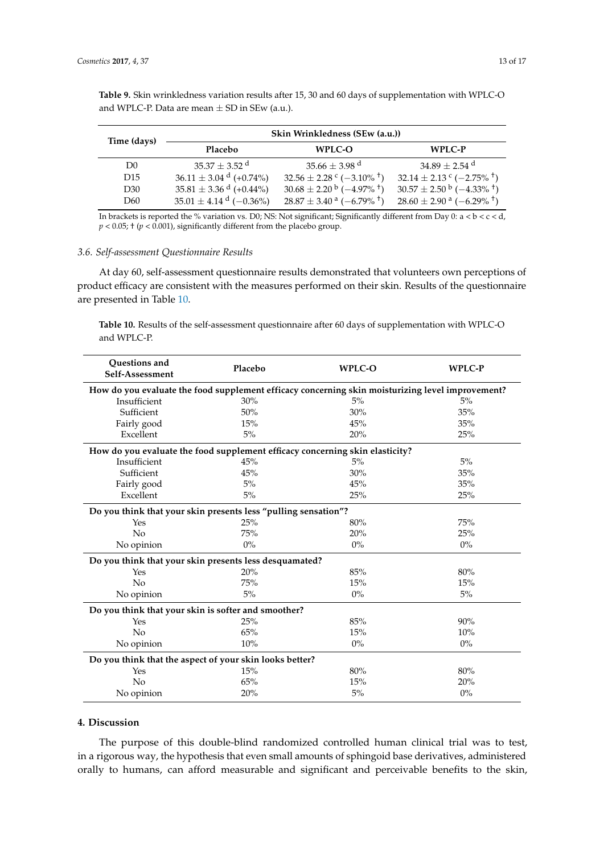<span id="page-12-0"></span>**Table 9.** Skin wrinkledness variation results after 15, 30 and 60 days of supplementation with WPLC-O and WPLC-P. Data are mean  $\pm$  SD in SEw (a.u.).

| Time (days)     | Skin Wrinkledness (SEw (a.u.)) |                                                      |                                                      |  |
|-----------------|--------------------------------|------------------------------------------------------|------------------------------------------------------|--|
|                 | Placebo                        | WPLC-O                                               | WPLC-P                                               |  |
| D <sub>0</sub>  | $35.37 \pm 3.52$ <sup>d</sup>  | 35.66 $\pm$ 3.98 <sup>d</sup>                        | 34.89 $\pm$ 2.54 <sup>d</sup>                        |  |
| D <sub>15</sub> | $36.11 \pm 3.04$ d (+0.74%)    | $32.56 \pm 2.28$ c (-3.10% <sup>+</sup> )            | $32.14 \pm 2.13$ ° (-2.75% <sup>+</sup> )            |  |
| D <sub>30</sub> | $35.81 \pm 3.36$ d (+0.44%)    | $30.68 \pm 2.20^{\mathrm{b}}$ (-4.97% <sup>+</sup> ) | $30.57 \pm 2.50^{\mathrm{b}}$ (-4.33% <sup>+</sup> ) |  |
| D60             | $35.01 \pm 4.14$ d (-0.36%)    | $28.87 \pm 3.40^{\text{ a}} (-6.79\% ^{\text{ + }})$ | $28.60 \pm 2.90^{\text{ a}} (-6.29\% ^{\text{ +}})$  |  |

In brackets is reported the % variation vs. D0; NS: Not significant; Significantly different from Day 0:  $a < b < c < d$ ,  $p < 0.05$ ;  $\pm (p < 0.001)$ , significantly different from the placebo group.

### *3.6. Self-assessment Questionnaire Results*

At day 60, self-assessment questionnaire results demonstrated that volunteers own perceptions of product efficacy are consistent with the measures performed on their skin. Results of the questionnaire are presented in Table [10.](#page-12-1)

<span id="page-12-1"></span>**Table 10.** Results of the self-assessment questionnaire after 60 days of supplementation with WPLC-O and WPLC-P.

| Questions and<br>Self-Assessment                                                                 | Placebo | <b>WPLC-O</b> | <b>WPLC-P</b> |  |  |  |
|--------------------------------------------------------------------------------------------------|---------|---------------|---------------|--|--|--|
| How do you evaluate the food supplement efficacy concerning skin moisturizing level improvement? |         |               |               |  |  |  |
| Insufficient                                                                                     | 30%     | 5%            | 5%            |  |  |  |
| Sufficient                                                                                       | 50%     | 30%           | 35%           |  |  |  |
| Fairly good                                                                                      | 15%     | 45%           | 35%           |  |  |  |
| Excellent                                                                                        | 5%      | 20%           | 25%           |  |  |  |
| How do you evaluate the food supplement efficacy concerning skin elasticity?                     |         |               |               |  |  |  |
| Insufficient                                                                                     | 45%     | 5%            | 5%            |  |  |  |
| Sufficient                                                                                       | 45%     | 30%           | 35%           |  |  |  |
| Fairly good                                                                                      | 5%      | 45%           | 35%           |  |  |  |
| Excellent                                                                                        | $5\%$   | 25%           | 25%           |  |  |  |
| Do you think that your skin presents less "pulling sensation"?                                   |         |               |               |  |  |  |
| Yes                                                                                              | 25%     | 80%           | 75%           |  |  |  |
| No                                                                                               | 75%     | 20%           | 25%           |  |  |  |
| No opinion                                                                                       | $0\%$   | $0\%$         | $0\%$         |  |  |  |
| Do you think that your skin presents less desquamated?                                           |         |               |               |  |  |  |
| Yes                                                                                              | 20%     | 85%           | 80%           |  |  |  |
| No                                                                                               | 75%     | 15%           | 15%           |  |  |  |
| No opinion                                                                                       | $5\%$   | $0\%$         | $5\%$         |  |  |  |
| Do you think that your skin is softer and smoother?                                              |         |               |               |  |  |  |
| Yes                                                                                              | 25%     | 85%           | 90%           |  |  |  |
| No                                                                                               | 65%     | 15%           | 10%           |  |  |  |
| No opinion                                                                                       | 10%     | $0\%$         | $0\%$         |  |  |  |
| Do you think that the aspect of your skin looks better?                                          |         |               |               |  |  |  |
| Yes                                                                                              | 15%     | 80%           | 80%           |  |  |  |
| No                                                                                               | 65%     | 15%           | 20%           |  |  |  |
| No opinion                                                                                       | 20%     | 5%            | $0\%$         |  |  |  |

### **4. Discussion**

The purpose of this double-blind randomized controlled human clinical trial was to test, in a rigorous way, the hypothesis that even small amounts of sphingoid base derivatives, administered orally to humans, can afford measurable and significant and perceivable benefits to the skin,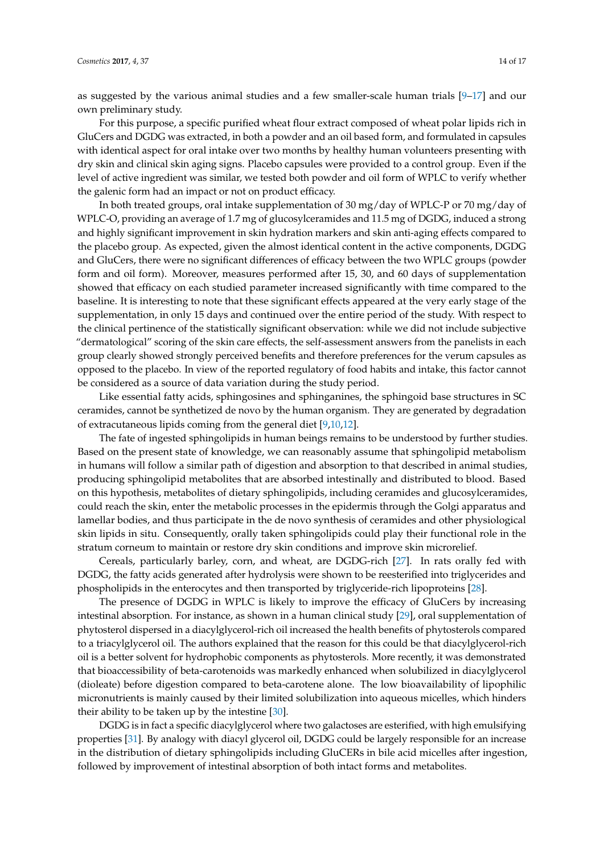as suggested by the various animal studies and a few smaller-scale human trials  $[9-17]$  $[9-17]$  and our own preliminary study.

For this purpose, a specific purified wheat flour extract composed of wheat polar lipids rich in GluCers and DGDG was extracted, in both a powder and an oil based form, and formulated in capsules with identical aspect for oral intake over two months by healthy human volunteers presenting with dry skin and clinical skin aging signs. Placebo capsules were provided to a control group. Even if the level of active ingredient was similar, we tested both powder and oil form of WPLC to verify whether the galenic form had an impact or not on product efficacy.

In both treated groups, oral intake supplementation of 30 mg/day of WPLC-P or 70 mg/day of WPLC-O, providing an average of 1.7 mg of glucosylceramides and 11.5 mg of DGDG, induced a strong and highly significant improvement in skin hydration markers and skin anti-aging effects compared to the placebo group. As expected, given the almost identical content in the active components, DGDG and GluCers, there were no significant differences of efficacy between the two WPLC groups (powder form and oil form). Moreover, measures performed after 15, 30, and 60 days of supplementation showed that efficacy on each studied parameter increased significantly with time compared to the baseline. It is interesting to note that these significant effects appeared at the very early stage of the supplementation, in only 15 days and continued over the entire period of the study. With respect to the clinical pertinence of the statistically significant observation: while we did not include subjective "dermatological" scoring of the skin care effects, the self-assessment answers from the panelists in each group clearly showed strongly perceived benefits and therefore preferences for the verum capsules as opposed to the placebo. In view of the reported regulatory of food habits and intake, this factor cannot be considered as a source of data variation during the study period.

Like essential fatty acids, sphingosines and sphinganines, the sphingoid base structures in SC ceramides, cannot be synthetized de novo by the human organism. They are generated by degradation of extracutaneous lipids coming from the general diet [\[9,](#page-15-1)[10,](#page-15-2)[12\]](#page-15-4).

The fate of ingested sphingolipids in human beings remains to be understood by further studies. Based on the present state of knowledge, we can reasonably assume that sphingolipid metabolism in humans will follow a similar path of digestion and absorption to that described in animal studies, producing sphingolipid metabolites that are absorbed intestinally and distributed to blood. Based on this hypothesis, metabolites of dietary sphingolipids, including ceramides and glucosylceramides, could reach the skin, enter the metabolic processes in the epidermis through the Golgi apparatus and lamellar bodies, and thus participate in the de novo synthesis of ceramides and other physiological skin lipids in situ. Consequently, orally taken sphingolipids could play their functional role in the stratum corneum to maintain or restore dry skin conditions and improve skin microrelief.

Cereals, particularly barley, corn, and wheat, are DGDG-rich [\[27\]](#page-15-14). In rats orally fed with DGDG, the fatty acids generated after hydrolysis were shown to be reesterified into triglycerides and phospholipids in the enterocytes and then transported by triglyceride-rich lipoproteins [\[28\]](#page-15-15).

The presence of DGDG in WPLC is likely to improve the efficacy of GluCers by increasing intestinal absorption. For instance, as shown in a human clinical study [\[29\]](#page-16-0), oral supplementation of phytosterol dispersed in a diacylglycerol-rich oil increased the health benefits of phytosterols compared to a triacylglycerol oil. The authors explained that the reason for this could be that diacylglycerol-rich oil is a better solvent for hydrophobic components as phytosterols. More recently, it was demonstrated that bioaccessibility of beta-carotenoids was markedly enhanced when solubilized in diacylglycerol (dioleate) before digestion compared to beta-carotene alone. The low bioavailability of lipophilic micronutrients is mainly caused by their limited solubilization into aqueous micelles, which hinders their ability to be taken up by the intestine [\[30\]](#page-16-1).

DGDG is in fact a specific diacylglycerol where two galactoses are esterified, with high emulsifying properties [\[31\]](#page-16-2). By analogy with diacyl glycerol oil, DGDG could be largely responsible for an increase in the distribution of dietary sphingolipids including GluCERs in bile acid micelles after ingestion, followed by improvement of intestinal absorption of both intact forms and metabolites.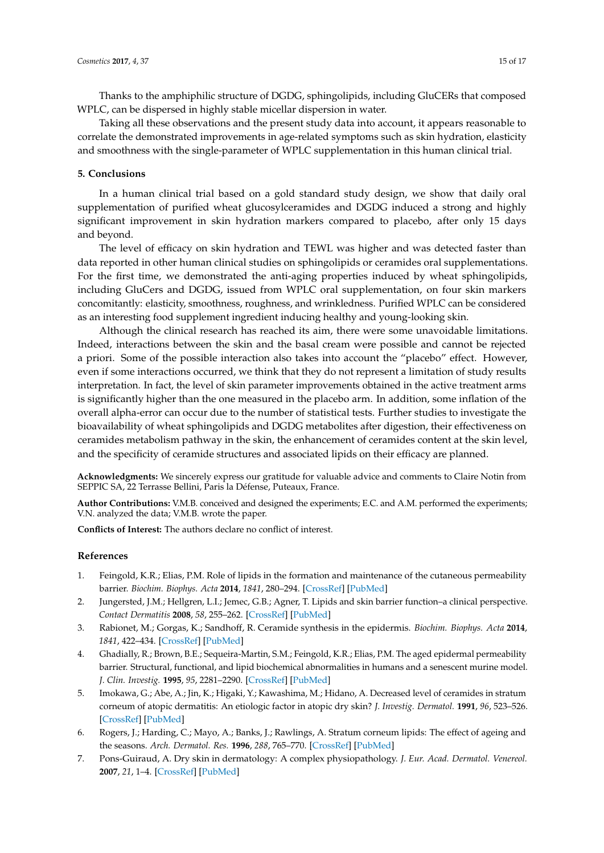Thanks to the amphiphilic structure of DGDG, sphingolipids, including GluCERs that composed WPLC, can be dispersed in highly stable micellar dispersion in water.

Taking all these observations and the present study data into account, it appears reasonable to correlate the demonstrated improvements in age-related symptoms such as skin hydration, elasticity and smoothness with the single-parameter of WPLC supplementation in this human clinical trial.

### **5. Conclusions**

In a human clinical trial based on a gold standard study design, we show that daily oral supplementation of purified wheat glucosylceramides and DGDG induced a strong and highly significant improvement in skin hydration markers compared to placebo, after only 15 days and beyond.

The level of efficacy on skin hydration and TEWL was higher and was detected faster than data reported in other human clinical studies on sphingolipids or ceramides oral supplementations. For the first time, we demonstrated the anti-aging properties induced by wheat sphingolipids, including GluCers and DGDG, issued from WPLC oral supplementation, on four skin markers concomitantly: elasticity, smoothness, roughness, and wrinkledness. Purified WPLC can be considered as an interesting food supplement ingredient inducing healthy and young-looking skin.

Although the clinical research has reached its aim, there were some unavoidable limitations. Indeed, interactions between the skin and the basal cream were possible and cannot be rejected a priori. Some of the possible interaction also takes into account the "placebo" effect. However, even if some interactions occurred, we think that they do not represent a limitation of study results interpretation. In fact, the level of skin parameter improvements obtained in the active treatment arms is significantly higher than the one measured in the placebo arm. In addition, some inflation of the overall alpha-error can occur due to the number of statistical tests. Further studies to investigate the bioavailability of wheat sphingolipids and DGDG metabolites after digestion, their effectiveness on ceramides metabolism pathway in the skin, the enhancement of ceramides content at the skin level, and the specificity of ceramide structures and associated lipids on their efficacy are planned.

**Acknowledgments:** We sincerely express our gratitude for valuable advice and comments to Claire Notin from SEPPIC SA, 22 Terrasse Bellini, Paris la Défense, Puteaux, France.

**Author Contributions:** V.M.B. conceived and designed the experiments; E.C. and A.M. performed the experiments; V.N. analyzed the data; V.M.B. wrote the paper.

**Conflicts of Interest:** The authors declare no conflict of interest.

### **References**

- <span id="page-14-0"></span>1. Feingold, K.R.; Elias, P.M. Role of lipids in the formation and maintenance of the cutaneous permeability barrier. *Biochim. Biophys. Acta* **2014**, *1841*, 280–294. [\[CrossRef\]](http://dx.doi.org/10.1016/j.bbalip.2013.11.007) [\[PubMed\]](http://www.ncbi.nlm.nih.gov/pubmed/24262790)
- <span id="page-14-1"></span>2. Jungersted, J.M.; Hellgren, L.I.; Jemec, G.B.; Agner, T. Lipids and skin barrier function–a clinical perspective. *Contact Dermatitis* **2008**, *58*, 255–262. [\[CrossRef\]](http://dx.doi.org/10.1111/j.1600-0536.2008.01320.x) [\[PubMed\]](http://www.ncbi.nlm.nih.gov/pubmed/18416754)
- <span id="page-14-2"></span>3. Rabionet, M.; Gorgas, K.; Sandhoff, R. Ceramide synthesis in the epidermis. *Biochim. Biophys. Acta* **2014**, *1841*, 422–434. [\[CrossRef\]](http://dx.doi.org/10.1016/j.bbalip.2013.08.011) [\[PubMed\]](http://www.ncbi.nlm.nih.gov/pubmed/23988654)
- <span id="page-14-3"></span>4. Ghadially, R.; Brown, B.E.; Sequeira-Martin, S.M.; Feingold, K.R.; Elias, P.M. The aged epidermal permeability barrier. Structural, functional, and lipid biochemical abnormalities in humans and a senescent murine model. *J. Clin. Investig.* **1995**, *95*, 2281–2290. [\[CrossRef\]](http://dx.doi.org/10.1172/JCI117919) [\[PubMed\]](http://www.ncbi.nlm.nih.gov/pubmed/7738193)
- <span id="page-14-4"></span>5. Imokawa, G.; Abe, A.; Jin, K.; Higaki, Y.; Kawashima, M.; Hidano, A. Decreased level of ceramides in stratum corneum of atopic dermatitis: An etiologic factor in atopic dry skin? *J. Investig. Dermatol.* **1991**, *96*, 523–526. [\[CrossRef\]](http://dx.doi.org/10.1111/1523-1747.ep12470233) [\[PubMed\]](http://www.ncbi.nlm.nih.gov/pubmed/2007790)
- <span id="page-14-5"></span>6. Rogers, J.; Harding, C.; Mayo, A.; Banks, J.; Rawlings, A. Stratum corneum lipids: The effect of ageing and the seasons. *Arch. Dermatol. Res.* **1996**, *288*, 765–770. [\[CrossRef\]](http://dx.doi.org/10.1007/BF02505294) [\[PubMed\]](http://www.ncbi.nlm.nih.gov/pubmed/8950457)
- <span id="page-14-6"></span>7. Pons-Guiraud, A. Dry skin in dermatology: A complex physiopathology. *J. Eur. Acad. Dermatol. Venereol.* **2007**, *21*, 1–4. [\[CrossRef\]](http://dx.doi.org/10.1111/j.1468-3083.2007.02379.x) [\[PubMed\]](http://www.ncbi.nlm.nih.gov/pubmed/17716284)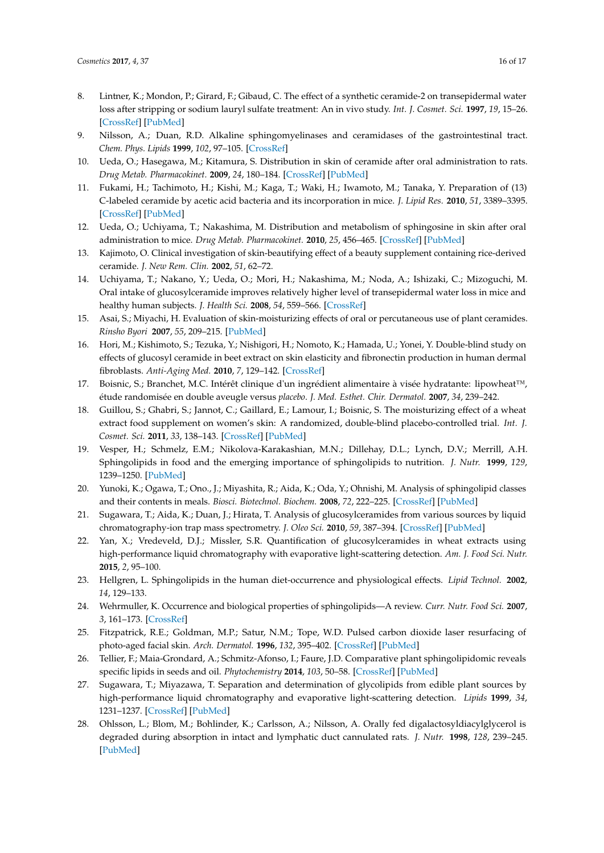- <span id="page-15-0"></span>8. Lintner, K.; Mondon, P.; Girard, F.; Gibaud, C. The effect of a synthetic ceramide-2 on transepidermal water loss after stripping or sodium lauryl sulfate treatment: An in vivo study. *Int. J. Cosmet. Sci.* **1997**, *19*, 15–26. [\[CrossRef\]](http://dx.doi.org/10.1111/j.1467-2494.1997.tb00162.x) [\[PubMed\]](http://www.ncbi.nlm.nih.gov/pubmed/18507646)
- <span id="page-15-1"></span>9. Nilsson, A.; Duan, R.D. Alkaline sphingomyelinases and ceramidases of the gastrointestinal tract. *Chem. Phys. Lipids* **1999**, *102*, 97–105. [\[CrossRef\]](http://dx.doi.org/10.1016/S0009-3084(99)00078-X)
- <span id="page-15-2"></span>10. Ueda, O.; Hasegawa, M.; Kitamura, S. Distribution in skin of ceramide after oral administration to rats. *Drug Metab. Pharmacokinet.* **2009**, *24*, 180–184. [\[CrossRef\]](http://dx.doi.org/10.2133/dmpk.24.180) [\[PubMed\]](http://www.ncbi.nlm.nih.gov/pubmed/19430175)
- <span id="page-15-3"></span>11. Fukami, H.; Tachimoto, H.; Kishi, M.; Kaga, T.; Waki, H.; Iwamoto, M.; Tanaka, Y. Preparation of (13) C-labeled ceramide by acetic acid bacteria and its incorporation in mice. *J. Lipid Res.* **2010**, *51*, 3389–3395. [\[CrossRef\]](http://dx.doi.org/10.1194/jlr.D009191) [\[PubMed\]](http://www.ncbi.nlm.nih.gov/pubmed/20656918)
- <span id="page-15-4"></span>12. Ueda, O.; Uchiyama, T.; Nakashima, M. Distribution and metabolism of sphingosine in skin after oral administration to mice. *Drug Metab. Pharmacokinet.* **2010**, *25*, 456–465. [\[CrossRef\]](http://dx.doi.org/10.2133/dmpk.DMPK-10-RG-038) [\[PubMed\]](http://www.ncbi.nlm.nih.gov/pubmed/20877136)
- <span id="page-15-5"></span>13. Kajimoto, O. Clinical investigation of skin-beautifying effect of a beauty supplement containing rice-derived ceramide. *J. New Rem. Clin.* **2002**, *51*, 62–72.
- 14. Uchiyama, T.; Nakano, Y.; Ueda, O.; Mori, H.; Nakashima, M.; Noda, A.; Ishizaki, C.; Mizoguchi, M. Oral intake of glucosylceramide improves relatively higher level of transepidermal water loss in mice and healthy human subjects. *J. Health Sci.* **2008**, *54*, 559–566. [\[CrossRef\]](http://dx.doi.org/10.1248/jhs.54.559)
- 15. Asai, S.; Miyachi, H. Evaluation of skin-moisturizing effects of oral or percutaneous use of plant ceramides. *Rinsho Byori* **2007**, *55*, 209–215. [\[PubMed\]](http://www.ncbi.nlm.nih.gov/pubmed/17441463)
- 16. Hori, M.; Kishimoto, S.; Tezuka, Y.; Nishigori, H.; Nomoto, K.; Hamada, U.; Yonei, Y. Double-blind study on effects of glucosyl ceramide in beet extract on skin elasticity and fibronectin production in human dermal fibroblasts. *Anti-Aging Med.* **2010**, *7*, 129–142. [\[CrossRef\]](http://dx.doi.org/10.3793/jaam.7.129)
- <span id="page-15-13"></span>17. Boisnic, S.; Branchet, M.C. Intérêt clinique d'un ingrédient alimentaire à visée hydratante: lipowheat™, étude randomisée en double aveugle versus *placebo*. *J. Med. Esthet. Chir. Dermatol.* **2007**, *34*, 239–242.
- <span id="page-15-6"></span>18. Guillou, S.; Ghabri, S.; Jannot, C.; Gaillard, E.; Lamour, I.; Boisnic, S. The moisturizing effect of a wheat extract food supplement on women's skin: A randomized, double-blind placebo-controlled trial. *Int. J. Cosmet. Sci.* **2011**, *33*, 138–143. [\[CrossRef\]](http://dx.doi.org/10.1111/j.1468-2494.2010.00600.x) [\[PubMed\]](http://www.ncbi.nlm.nih.gov/pubmed/20646083)
- <span id="page-15-7"></span>19. Vesper, H.; Schmelz, E.M.; Nikolova-Karakashian, M.N.; Dillehay, D.L.; Lynch, D.V.; Merrill, A.H. Sphingolipids in food and the emerging importance of sphingolipids to nutrition. *J. Nutr.* **1999**, *129*, 1239–1250. [\[PubMed\]](http://www.ncbi.nlm.nih.gov/pubmed/10395583)
- 20. Yunoki, K.; Ogawa, T.; Ono., J.; Miyashita, R.; Aida, K.; Oda, Y.; Ohnishi, M. Analysis of sphingolipid classes and their contents in meals. *Biosci. Biotechnol. Biochem.* **2008**, *72*, 222–225. [\[CrossRef\]](http://dx.doi.org/10.1271/bbb.70463) [\[PubMed\]](http://www.ncbi.nlm.nih.gov/pubmed/18175909)
- <span id="page-15-11"></span>21. Sugawara, T.; Aida, K.; Duan, J.; Hirata, T. Analysis of glucosylceramides from various sources by liquid chromatography-ion trap mass spectrometry. *J. Oleo Sci.* **2010**, *59*, 387–394. [\[CrossRef\]](http://dx.doi.org/10.5650/jos.59.387) [\[PubMed\]](http://www.ncbi.nlm.nih.gov/pubmed/20513973)
- <span id="page-15-12"></span>22. Yan, X.; Vredeveld, D.J.; Missler, S.R. Quantification of glucosylceramides in wheat extracts using high-performance liquid chromatography with evaporative light-scattering detection. *Am. J. Food Sci. Nutr.* **2015**, *2*, 95–100.
- 23. Hellgren, L. Sphingolipids in the human diet-occurrence and physiological effects. *Lipid Technol.* **2002**, *14*, 129–133.
- <span id="page-15-8"></span>24. Wehrmuller, K. Occurrence and biological properties of sphingolipids—A review. *Curr. Nutr. Food Sci.* **2007**, *3*, 161–173. [\[CrossRef\]](http://dx.doi.org/10.2174/157340107780598618)
- <span id="page-15-9"></span>25. Fitzpatrick, R.E.; Goldman, M.P.; Satur, N.M.; Tope, W.D. Pulsed carbon dioxide laser resurfacing of photo-aged facial skin. *Arch. Dermatol.* **1996**, *132*, 395–402. [\[CrossRef\]](http://dx.doi.org/10.1001/archderm.1996.03890280047007) [\[PubMed\]](http://www.ncbi.nlm.nih.gov/pubmed/8629842)
- <span id="page-15-10"></span>26. Tellier, F.; Maia-Grondard, A.; Schmitz-Afonso, I.; Faure, J.D. Comparative plant sphingolipidomic reveals specific lipids in seeds and oil. *Phytochemistry* **2014**, *103*, 50–58. [\[CrossRef\]](http://dx.doi.org/10.1016/j.phytochem.2014.03.023) [\[PubMed\]](http://www.ncbi.nlm.nih.gov/pubmed/24731258)
- <span id="page-15-14"></span>27. Sugawara, T.; Miyazawa, T. Separation and determination of glycolipids from edible plant sources by high-performance liquid chromatography and evaporative light-scattering detection. *Lipids* **1999**, *34*, 1231–1237. [\[CrossRef\]](http://dx.doi.org/10.1007/s11745-999-0476-3) [\[PubMed\]](http://www.ncbi.nlm.nih.gov/pubmed/10606047)
- <span id="page-15-15"></span>28. Ohlsson, L.; Blom, M.; Bohlinder, K.; Carlsson, A.; Nilsson, A. Orally fed digalactosyldiacylglycerol is degraded during absorption in intact and lymphatic duct cannulated rats. *J. Nutr.* **1998**, *128*, 239–245. [\[PubMed\]](http://www.ncbi.nlm.nih.gov/pubmed/9446850)